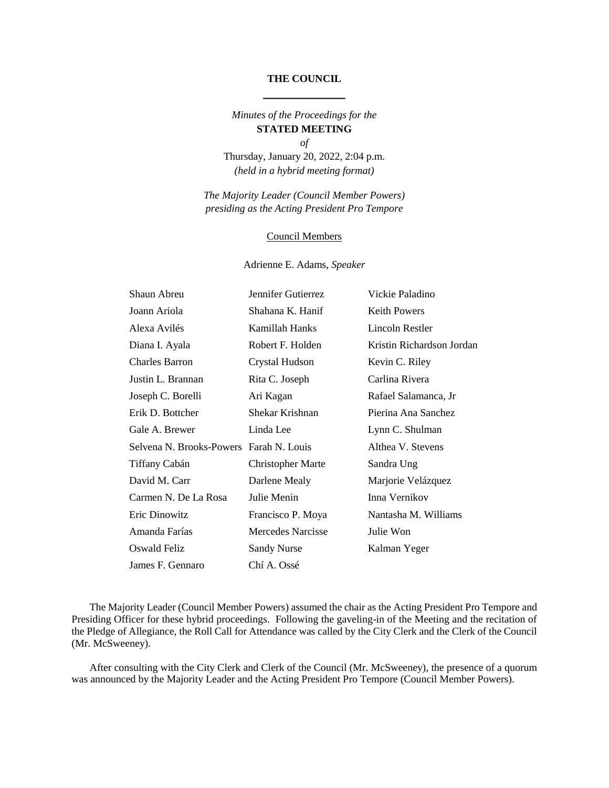#### **THE COUNCIL**

# *Minutes of the Proceedings for the*  **STATED MEETING**

*of* Thursday, January 20, 2022, 2:04 p.m. *(held in a hybrid meeting format)*

*The Majority Leader (Council Member Powers) presiding as the Acting President Pro Tempore*

#### Council Members

#### Adrienne E. Adams, *Speaker*

| Shaun Abreu                             | Jennifer Gutierrez       | Vickie Paladino           |
|-----------------------------------------|--------------------------|---------------------------|
| Joann Ariola                            | Shahana K. Hanif         | <b>Keith Powers</b>       |
| Alexa Avilés                            | Kamillah Hanks           | Lincoln Restler           |
| Diana I. Ayala                          | Robert F. Holden         | Kristin Richardson Jordan |
| <b>Charles Barron</b>                   | Crystal Hudson           | Kevin C. Riley            |
| Justin L. Brannan                       | Rita C. Joseph           | Carlina Rivera            |
| Joseph C. Borelli                       | Ari Kagan                | Rafael Salamanca, Jr      |
| Erik D. Bottcher                        | Shekar Krishnan          | Pierina Ana Sanchez       |
| Gale A. Brewer                          | Linda Lee                | Lynn C. Shulman           |
| Selvena N. Brooks-Powers Farah N. Louis |                          | Althea V. Stevens         |
| Tiffany Cabán                           | <b>Christopher Marte</b> | Sandra Ung                |
| David M. Carr                           | Darlene Mealy            | Marjorie Velázquez        |
| Carmen N. De La Rosa                    | Julie Menin              | Inna Vernikov             |
| Eric Dinowitz                           | Francisco P. Moya        | Nantasha M. Williams      |
| Amanda Farías                           | <b>Mercedes Narcisse</b> | Julie Won                 |
| <b>Oswald Feliz</b>                     | <b>Sandy Nurse</b>       | Kalman Yeger              |
| James F. Gennaro                        | Chí A. Ossé              |                           |

The Majority Leader (Council Member Powers) assumed the chair as the Acting President Pro Tempore and Presiding Officer for these hybrid proceedings. Following the gaveling-in of the Meeting and the recitation of the Pledge of Allegiance, the Roll Call for Attendance was called by the City Clerk and the Clerk of the Council (Mr. McSweeney).

After consulting with the City Clerk and Clerk of the Council (Mr. McSweeney), the presence of a quorum was announced by the Majority Leader and the Acting President Pro Tempore (Council Member Powers).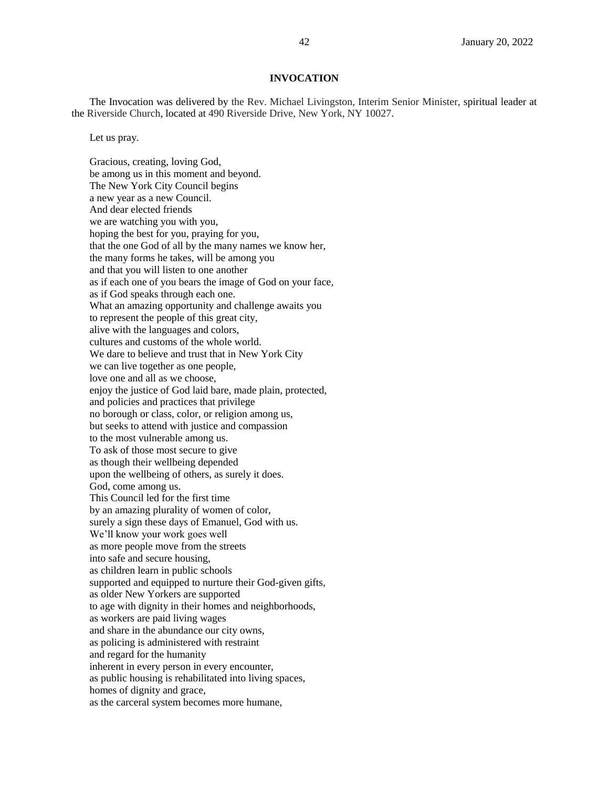#### **INVOCATION**

The Invocation was delivered by the Rev. Michael Livingston, Interim Senior Minister, spiritual leader at the Riverside Church, located at 490 Riverside Drive, New York, NY 10027.

Let us pray.

Gracious, creating, loving God, be among us in this moment and beyond. The New York City Council begins a new year as a new Council. And dear elected friends we are watching you with you, hoping the best for you, praying for you, that the one God of all by the many names we know her, the many forms he takes, will be among you and that you will listen to one another as if each one of you bears the image of God on your face, as if God speaks through each one. What an amazing opportunity and challenge awaits you to represent the people of this great city, alive with the languages and colors, cultures and customs of the whole world. We dare to believe and trust that in New York City we can live together as one people, love one and all as we choose, enjoy the justice of God laid bare, made plain, protected, and policies and practices that privilege no borough or class, color, or religion among us, but seeks to attend with justice and compassion to the most vulnerable among us. To ask of those most secure to give as though their wellbeing depended upon the wellbeing of others, as surely it does. God, come among us. This Council led for the first time by an amazing plurality of women of color, surely a sign these days of Emanuel, God with us. We'll know your work goes well as more people move from the streets into safe and secure housing, as children learn in public schools supported and equipped to nurture their God-given gifts, as older New Yorkers are supported to age with dignity in their homes and neighborhoods, as workers are paid living wages and share in the abundance our city owns, as policing is administered with restraint and regard for the humanity inherent in every person in every encounter, as public housing is rehabilitated into living spaces, homes of dignity and grace, as the carceral system becomes more humane,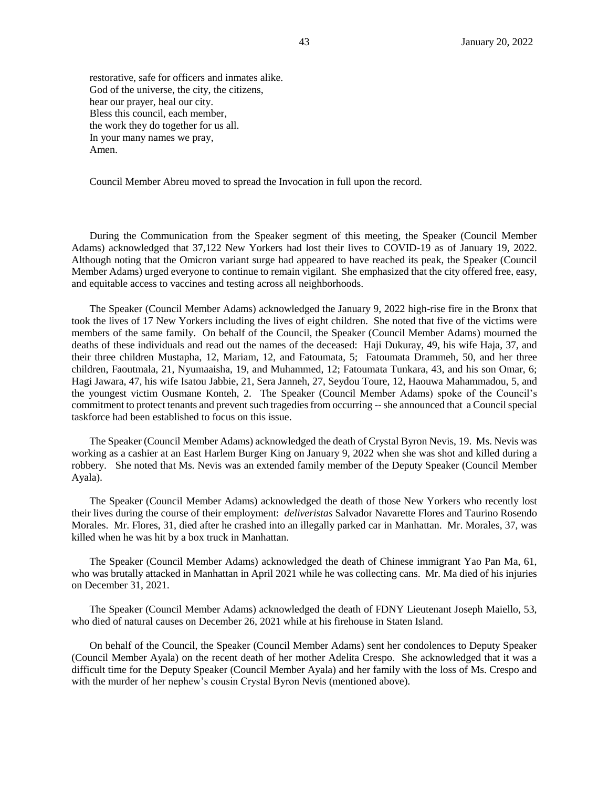restorative, safe for officers and inmates alike. God of the universe, the city, the citizens, hear our prayer, heal our city. Bless this council, each member, the work they do together for us all. In your many names we pray, Amen.

Council Member Abreu moved to spread the Invocation in full upon the record.

During the Communication from the Speaker segment of this meeting, the Speaker (Council Member Adams) acknowledged that 37,122 New Yorkers had lost their lives to COVID-19 as of January 19, 2022. Although noting that the Omicron variant surge had appeared to have reached its peak, the Speaker (Council Member Adams) urged everyone to continue to remain vigilant. She emphasized that the city offered free, easy, and equitable access to vaccines and testing across all neighborhoods.

The Speaker (Council Member Adams) acknowledged the January 9, 2022 high-rise fire in the Bronx that took the lives of 17 New Yorkers including the lives of eight children. She noted that five of the victims were members of the same family. On behalf of the Council, the Speaker (Council Member Adams) mourned the deaths of these individuals and read out the names of the deceased: Haji Dukuray, 49, his wife Haja, 37, and their three children Mustapha, 12, Mariam, 12, and Fatoumata, 5; Fatoumata Drammeh, 50, and her three children, Faoutmala, 21, Nyumaaisha, 19, and Muhammed, 12; Fatoumata Tunkara, 43, and his son Omar, 6; Hagi Jawara, 47, his wife Isatou Jabbie, 21, Sera Janneh, 27, Seydou Toure, 12, Haouwa Mahammadou, 5, and the youngest victim Ousmane Konteh, 2. The Speaker (Council Member Adams) spoke of the Council's commitment to protect tenants and prevent such tragedies from occurring --she announced that a Council special taskforce had been established to focus on this issue.

The Speaker (Council Member Adams) acknowledged the death of Crystal Byron Nevis, 19. Ms. Nevis was working as a cashier at an East Harlem Burger King on January 9, 2022 when she was shot and killed during a robbery. She noted that Ms. Nevis was an extended family member of the Deputy Speaker (Council Member Ayala).

The Speaker (Council Member Adams) acknowledged the death of those New Yorkers who recently lost their lives during the course of their employment: *deliveristas* Salvador Navarette Flores and Taurino Rosendo Morales. Mr. Flores, 31, died after he crashed into an illegally parked car in Manhattan. Mr. Morales, 37, was killed when he was hit by a box truck in Manhattan.

The Speaker (Council Member Adams) acknowledged the death of Chinese immigrant Yao Pan Ma, 61, who was brutally attacked in Manhattan in April 2021 while he was collecting cans. Mr. Ma died of his injuries on December 31, 2021.

The Speaker (Council Member Adams) acknowledged the death of FDNY Lieutenant Joseph Maiello, 53, who died of natural causes on December 26, 2021 while at his firehouse in Staten Island.

On behalf of the Council, the Speaker (Council Member Adams) sent her condolences to Deputy Speaker (Council Member Ayala) on the recent death of her mother Adelita Crespo. She acknowledged that it was a difficult time for the Deputy Speaker (Council Member Ayala) and her family with the loss of Ms. Crespo and with the murder of her nephew's cousin Crystal Byron Nevis (mentioned above).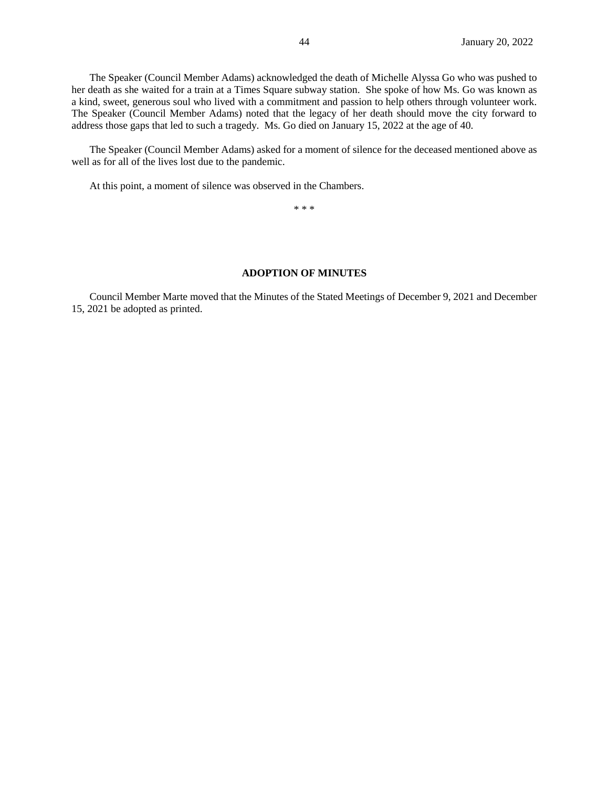The Speaker (Council Member Adams) acknowledged the death of Michelle Alyssa Go who was pushed to her death as she waited for a train at a Times Square subway station. She spoke of how Ms. Go was known as a kind, sweet, generous soul who lived with a commitment and passion to help others through volunteer work. The Speaker (Council Member Adams) noted that the legacy of her death should move the city forward to address those gaps that led to such a tragedy. Ms. Go died on January 15, 2022 at the age of 40.

The Speaker (Council Member Adams) asked for a moment of silence for the deceased mentioned above as well as for all of the lives lost due to the pandemic.

At this point, a moment of silence was observed in the Chambers.

\* \* \*

#### **ADOPTION OF MINUTES**

Council Member Marte moved that the Minutes of the Stated Meetings of December 9, 2021 and December 15, 2021 be adopted as printed.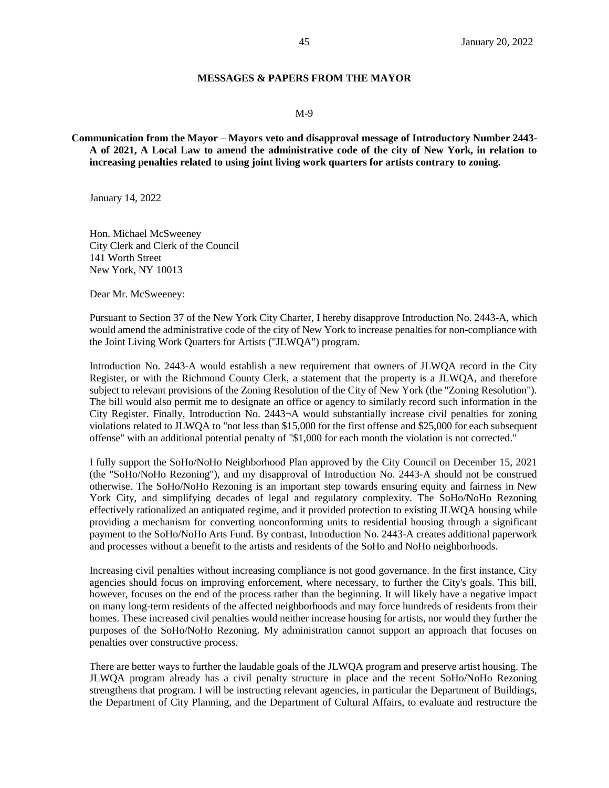### **MESSAGES & PAPERS FROM THE MAYOR**

#### M-9

## **Communication from the Mayor – Mayors veto and disapproval message of Introductory Number 2443- A of 2021, A Local Law to amend the administrative code of the city of New York, in relation to increasing penalties related to using joint living work quarters for artists contrary to zoning.**

January 14, 2022

Hon. Michael McSweeney City Clerk and Clerk of the Council 141 Worth Street New York, NY 10013

Dear Mr. McSweeney:

Pursuant to Section 37 of the New York City Charter, I hereby disapprove Introduction No. 2443-A, which would amend the administrative code of the city of New York to increase penalties for non-compliance with the Joint Living Work Quarters for Artists ("JLWQA") program.

Introduction No. 2443-A would establish a new requirement that owners of JLWQA record in the City Register, or with the Richmond County Clerk, a statement that the property is a JLWQA, and therefore subject to relevant provisions of the Zoning Resolution of the City of New York (the "Zoning Resolution"). The bill would also permit me to designate an office or agency to similarly record such information in the City Register. Finally, Introduction No. 2443¬A would substantially increase civil penalties for zoning violations related to JLWQA to "not less than \$15,000 for the first offense and \$25,000 for each subsequent offense" with an additional potential penalty of "\$1,000 for each month the violation is not corrected."

I fully support the SoHo/NoHo Neighborhood Plan approved by the City Council on December 15, 2021 (the "SoHo/NoHo Rezoning"), and my disapproval of Introduction No. 2443-A should not be construed otherwise. The SoHo/NoHo Rezoning is an important step towards ensuring equity and fairness in New York City, and simplifying decades of legal and regulatory complexity. The SoHo/NoHo Rezoning effectively rationalized an antiquated regime, and it provided protection to existing JLWQA housing while providing a mechanism for converting nonconforming units to residential housing through a significant payment to the SoHo/NoHo Arts Fund. By contrast, Introduction No. 2443-A creates additional paperwork and processes without a benefit to the artists and residents of the SoHo and NoHo neighborhoods.

Increasing civil penalties without increasing compliance is not good governance. In the first instance, City agencies should focus on improving enforcement, where necessary, to further the City's goals. This bill, however, focuses on the end of the process rather than the beginning. It will likely have a negative impact on many long-term residents of the affected neighborhoods and may force hundreds of residents from their homes. These increased civil penalties would neither increase housing for artists, nor would they further the purposes of the SoHo/NoHo Rezoning. My administration cannot support an approach that focuses on penalties over constructive process.

There are better ways to further the laudable goals of the JLWQA program and preserve artist housing. The JLWQA program already has a civil penalty structure in place and the recent SoHo/NoHo Rezoning strengthens that program. I will be instructing relevant agencies, in particular the Department of Buildings, the Department of City Planning, and the Department of Cultural Affairs, to evaluate and restructure the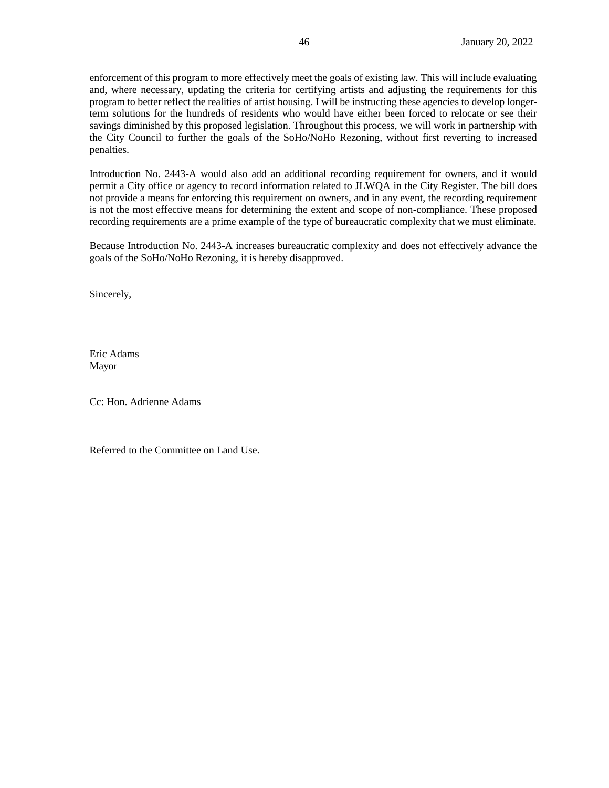enforcement of this program to more effectively meet the goals of existing law. This will include evaluating and, where necessary, updating the criteria for certifying artists and adjusting the requirements for this program to better reflect the realities of artist housing. I will be instructing these agencies to develop longerterm solutions for the hundreds of residents who would have either been forced to relocate or see their savings diminished by this proposed legislation. Throughout this process, we will work in partnership with the City Council to further the goals of the SoHo/NoHo Rezoning, without first reverting to increased penalties.

Introduction No. 2443-A would also add an additional recording requirement for owners, and it would permit a City office or agency to record information related to JLWQA in the City Register. The bill does not provide a means for enforcing this requirement on owners, and in any event, the recording requirement is not the most effective means for determining the extent and scope of non-compliance. These proposed recording requirements are a prime example of the type of bureaucratic complexity that we must eliminate.

Because Introduction No. 2443-A increases bureaucratic complexity and does not effectively advance the goals of the SoHo/NoHo Rezoning, it is hereby disapproved.

Sincerely,

Eric Adams Mayor

Cc: Hon. Adrienne Adams

Referred to the Committee on Land Use.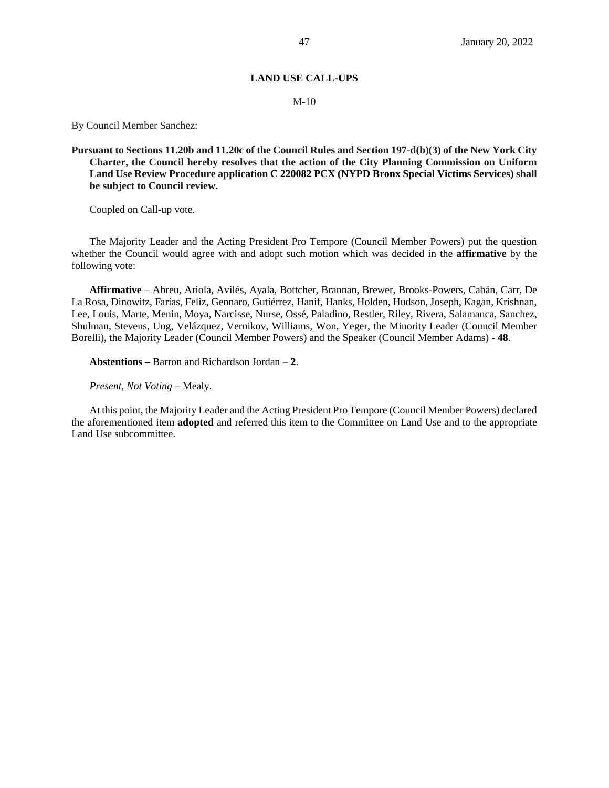## **LAND USE CALL-UPS**

#### M-10

By Council Member Sanchez:

## **Pursuant to Sections 11.20b and 11.20c of the Council Rules and Section 197-d(b)(3) of the New York City Charter, the Council hereby resolves that the action of the City Planning Commission on Uniform Land Use Review Procedure application C 220082 PCX (NYPD Bronx Special Victims Services) shall be subject to Council review.**

Coupled on Call-up vote.

The Majority Leader and the Acting President Pro Tempore (Council Member Powers) put the question whether the Council would agree with and adopt such motion which was decided in the **affirmative** by the following vote:

**Affirmative –** Abreu, Ariola, Avilés, Ayala, Bottcher, Brannan, Brewer, Brooks-Powers, Cabán, Carr, De La Rosa, Dinowitz, Farías, Feliz, Gennaro, Gutiérrez, Hanif, Hanks, Holden, Hudson, Joseph, Kagan, Krishnan, Lee, Louis, Marte, Menin, Moya, Narcisse, Nurse, Ossé, Paladino, Restler, Riley, Rivera, Salamanca, Sanchez, Shulman, Stevens, Ung, Velázquez, Vernikov, Williams, Won, Yeger, the Minority Leader (Council Member Borelli), the Majority Leader (Council Member Powers) and the Speaker (Council Member Adams) - **48**.

**Abstentions –** Barron and Richardson Jordan – **2**.

*Present, Not Voting* **–** Mealy.

At this point, the Majority Leader and the Acting President Pro Tempore (Council Member Powers) declared the aforementioned item **adopted** and referred this item to the Committee on Land Use and to the appropriate Land Use subcommittee.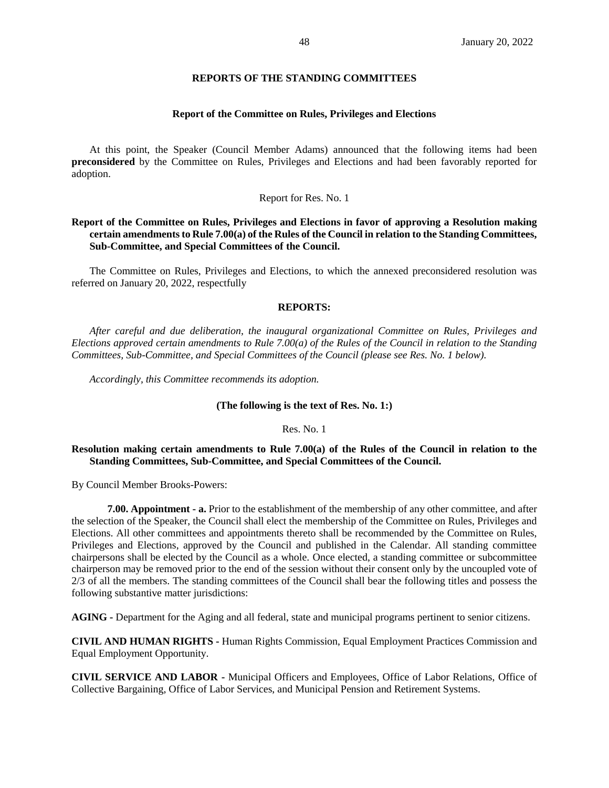### **REPORTS OF THE STANDING COMMITTEES**

#### **Report of the Committee on Rules, Privileges and Elections**

At this point, the Speaker (Council Member Adams) announced that the following items had been **preconsidered** by the Committee on Rules, Privileges and Elections and had been favorably reported for adoption.

#### Report for Res. No. 1

## **Report of the Committee on Rules, Privileges and Elections in favor of approving a Resolution making certain amendments to Rule 7.00(a) of the Rules of the Council in relation to the Standing Committees, Sub-Committee, and Special Committees of the Council.**

The Committee on Rules, Privileges and Elections, to which the annexed preconsidered resolution was referred on January 20, 2022, respectfully

#### **REPORTS:**

*After careful and due deliberation, the inaugural organizational Committee on Rules, Privileges and Elections approved certain amendments to Rule 7.00(a) of the Rules of the Council in relation to the Standing Committees, Sub-Committee, and Special Committees of the Council (please see Res. No. 1 below).* 

*Accordingly, this Committee recommends its adoption.*

#### **(The following is the text of Res. No. 1:)**

#### Res. No. 1

### **Resolution making certain amendments to Rule 7.00(a) of the Rules of the Council in relation to the Standing Committees, Sub-Committee, and Special Committees of the Council.**

By Council Member Brooks-Powers:

**7.00. Appointment - a.** Prior to the establishment of the membership of any other committee, and after the selection of the Speaker, the Council shall elect the membership of the Committee on Rules, Privileges and Elections. All other committees and appointments thereto shall be recommended by the Committee on Rules, Privileges and Elections, approved by the Council and published in the Calendar. All standing committee chairpersons shall be elected by the Council as a whole. Once elected, a standing committee or subcommittee chairperson may be removed prior to the end of the session without their consent only by the uncoupled vote of 2/3 of all the members. The standing committees of the Council shall bear the following titles and possess the following substantive matter jurisdictions:

**AGING -** Department for the Aging and all federal, state and municipal programs pertinent to senior citizens.

**CIVIL AND HUMAN RIGHTS -** Human Rights Commission, Equal Employment Practices Commission and Equal Employment Opportunity.

**CIVIL SERVICE AND LABOR -** Municipal Officers and Employees, Office of Labor Relations, Office of Collective Bargaining, Office of Labor Services, and Municipal Pension and Retirement Systems.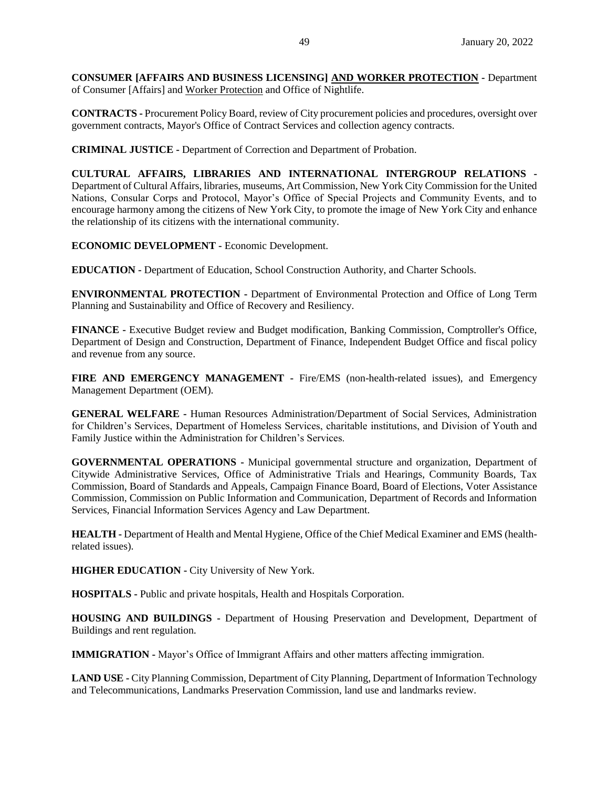**CONSUMER [AFFAIRS AND BUSINESS LICENSING] AND WORKER PROTECTION -** Department of Consumer [Affairs] and Worker Protection and Office of Nightlife.

**CONTRACTS -** Procurement Policy Board, review of City procurement policies and procedures, oversight over government contracts, Mayor's Office of Contract Services and collection agency contracts.

**CRIMINAL JUSTICE -** Department of Correction and Department of Probation.

**CULTURAL AFFAIRS, LIBRARIES AND INTERNATIONAL INTERGROUP RELATIONS -** Department of Cultural Affairs, libraries, museums, Art Commission, New York City Commission for the United Nations, Consular Corps and Protocol, Mayor's Office of Special Projects and Community Events, and to encourage harmony among the citizens of New York City, to promote the image of New York City and enhance the relationship of its citizens with the international community.

**ECONOMIC DEVELOPMENT -** Economic Development.

**EDUCATION -** Department of Education, School Construction Authority, and Charter Schools.

**ENVIRONMENTAL PROTECTION -** Department of Environmental Protection and Office of Long Term Planning and Sustainability and Office of Recovery and Resiliency.

**FINANCE -** Executive Budget review and Budget modification, Banking Commission, Comptroller's Office, Department of Design and Construction, Department of Finance, Independent Budget Office and fiscal policy and revenue from any source.

**FIRE AND EMERGENCY MANAGEMENT -** Fire/EMS (non-health-related issues), and Emergency Management Department (OEM).

**GENERAL WELFARE -** Human Resources Administration/Department of Social Services, Administration for Children's Services, Department of Homeless Services, charitable institutions, and Division of Youth and Family Justice within the Administration for Children's Services.

**GOVERNMENTAL OPERATIONS -** Municipal governmental structure and organization, Department of Citywide Administrative Services, Office of Administrative Trials and Hearings, Community Boards, Tax Commission, Board of Standards and Appeals, Campaign Finance Board, Board of Elections, Voter Assistance Commission, Commission on Public Information and Communication, Department of Records and Information Services, Financial Information Services Agency and Law Department.

**HEALTH -** Department of Health and Mental Hygiene, Office of the Chief Medical Examiner and EMS (healthrelated issues).

**HIGHER EDUCATION -** City University of New York.

**HOSPITALS -** Public and private hospitals, Health and Hospitals Corporation.

**HOUSING AND BUILDINGS -** Department of Housing Preservation and Development, Department of Buildings and rent regulation.

**IMMIGRATION -** Mayor's Office of Immigrant Affairs and other matters affecting immigration.

**LAND USE -** City Planning Commission, Department of City Planning, Department of Information Technology and Telecommunications, Landmarks Preservation Commission, land use and landmarks review.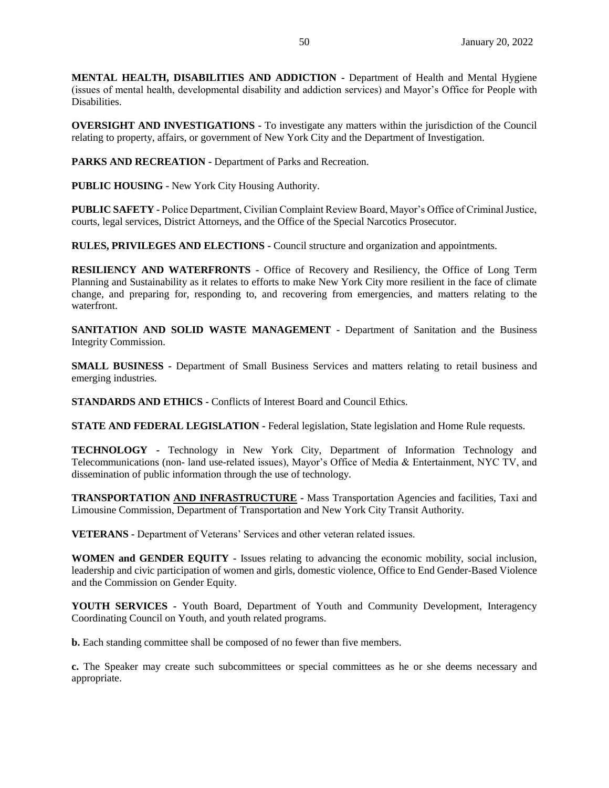**MENTAL HEALTH, DISABILITIES AND ADDICTION -** Department of Health and Mental Hygiene (issues of mental health, developmental disability and addiction services) and Mayor's Office for People with Disabilities.

**OVERSIGHT AND INVESTIGATIONS -** To investigate any matters within the jurisdiction of the Council relating to property, affairs, or government of New York City and the Department of Investigation.

**PARKS AND RECREATION -** Department of Parks and Recreation.

**PUBLIC HOUSING -** New York City Housing Authority.

**PUBLIC SAFETY -** Police Department, Civilian Complaint Review Board, Mayor's Office of Criminal Justice, courts, legal services, District Attorneys, and the Office of the Special Narcotics Prosecutor.

**RULES, PRIVILEGES AND ELECTIONS -** Council structure and organization and appointments.

**RESILIENCY AND WATERFRONTS -** Office of Recovery and Resiliency, the Office of Long Term Planning and Sustainability as it relates to efforts to make New York City more resilient in the face of climate change, and preparing for, responding to, and recovering from emergencies, and matters relating to the waterfront.

**SANITATION AND SOLID WASTE MANAGEMENT -** Department of Sanitation and the Business Integrity Commission.

**SMALL BUSINESS -** Department of Small Business Services and matters relating to retail business and emerging industries.

**STANDARDS AND ETHICS -** Conflicts of Interest Board and Council Ethics.

**STATE AND FEDERAL LEGISLATION -** Federal legislation, State legislation and Home Rule requests.

**TECHNOLOGY -** Technology in New York City, Department of Information Technology and Telecommunications (non- land use-related issues), Mayor's Office of Media & Entertainment, NYC TV, and dissemination of public information through the use of technology.

**TRANSPORTATION AND INFRASTRUCTURE -** Mass Transportation Agencies and facilities, Taxi and Limousine Commission, Department of Transportation and New York City Transit Authority.

**VETERANS -** Department of Veterans' Services and other veteran related issues.

**WOMEN and GENDER EQUITY -** Issues relating to advancing the economic mobility, social inclusion, leadership and civic participation of women and girls, domestic violence, Office to End Gender-Based Violence and the Commission on Gender Equity.

**YOUTH SERVICES -** Youth Board, Department of Youth and Community Development, Interagency Coordinating Council on Youth, and youth related programs.

**b.** Each standing committee shall be composed of no fewer than five members.

**c.** The Speaker may create such subcommittees or special committees as he or she deems necessary and appropriate.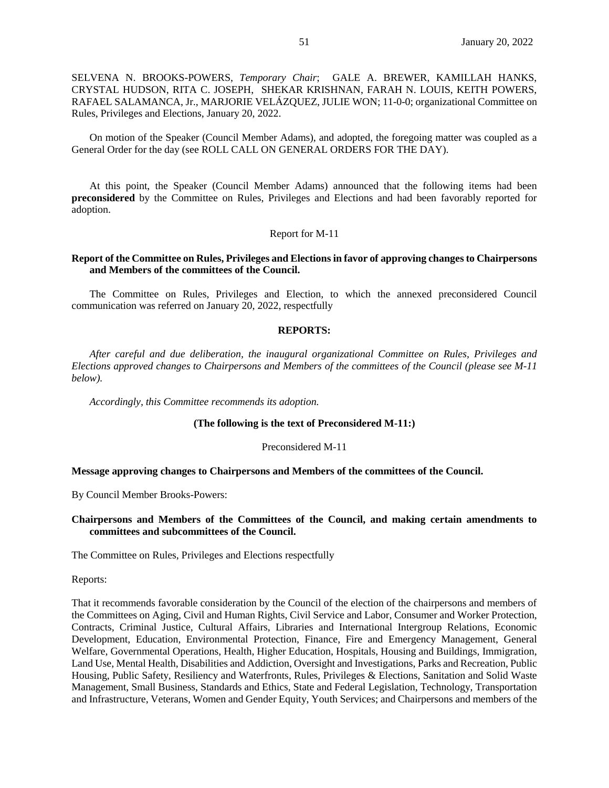SELVENA N. BROOKS-POWERS, *Temporary Chair*; GALE A. BREWER, KAMILLAH HANKS, CRYSTAL HUDSON, RITA C. JOSEPH, SHEKAR KRISHNAN, FARAH N. LOUIS, KEITH POWERS, RAFAEL SALAMANCA, Jr., MARJORIE VELÁZQUEZ, JULIE WON; 11-0-0; organizational Committee on Rules, Privileges and Elections, January 20, 2022.

On motion of the Speaker (Council Member Adams), and adopted, the foregoing matter was coupled as a General Order for the day (see ROLL CALL ON GENERAL ORDERS FOR THE DAY).

At this point, the Speaker (Council Member Adams) announced that the following items had been **preconsidered** by the Committee on Rules, Privileges and Elections and had been favorably reported for adoption.

#### Report for M-11

#### **Report of the Committee on Rules, Privileges and Elections in favor of approving changes to Chairpersons and Members of the committees of the Council.**

The Committee on Rules, Privileges and Election, to which the annexed preconsidered Council communication was referred on January 20, 2022, respectfully

#### **REPORTS:**

*After careful and due deliberation, the inaugural organizational Committee on Rules, Privileges and Elections approved changes to Chairpersons and Members of the committees of the Council (please see M-11 below).* 

*Accordingly, this Committee recommends its adoption.*

#### **(The following is the text of Preconsidered M-11:)**

#### Preconsidered M-11

#### **Message approving changes to Chairpersons and Members of the committees of the Council.**

By Council Member Brooks-Powers:

#### **Chairpersons and Members of the Committees of the Council, and making certain amendments to committees and subcommittees of the Council.**

The Committee on Rules, Privileges and Elections respectfully

Reports:

That it recommends favorable consideration by the Council of the election of the chairpersons and members of the Committees on Aging, Civil and Human Rights, Civil Service and Labor, Consumer and Worker Protection, Contracts, Criminal Justice, Cultural Affairs, Libraries and International Intergroup Relations, Economic Development, Education, Environmental Protection, Finance, Fire and Emergency Management, General Welfare, Governmental Operations, Health, Higher Education, Hospitals, Housing and Buildings, Immigration, Land Use, Mental Health, Disabilities and Addiction, Oversight and Investigations, Parks and Recreation, Public Housing, Public Safety, Resiliency and Waterfronts, Rules, Privileges & Elections, Sanitation and Solid Waste Management, Small Business, Standards and Ethics, State and Federal Legislation, Technology, Transportation and Infrastructure, Veterans, Women and Gender Equity, Youth Services; and Chairpersons and members of the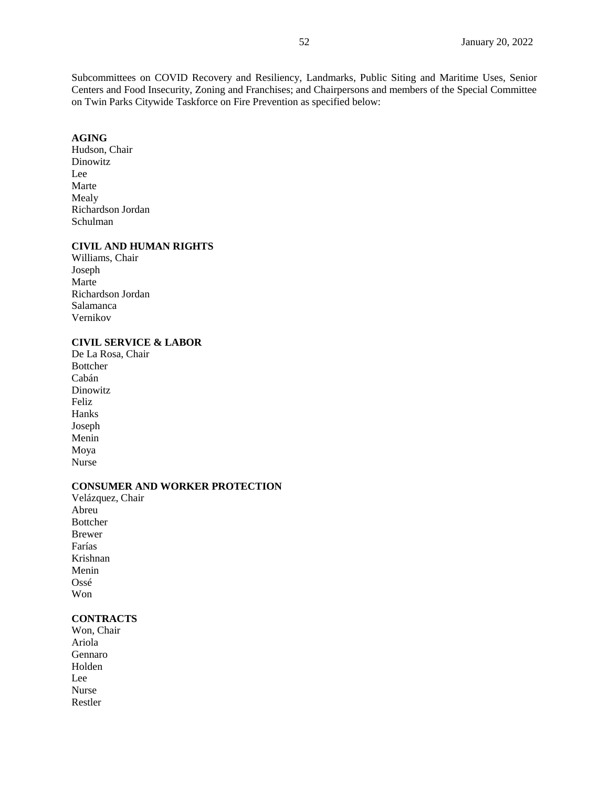Subcommittees on COVID Recovery and Resiliency, Landmarks, Public Siting and Maritime Uses, Senior Centers and Food Insecurity, Zoning and Franchises; and Chairpersons and members of the Special Committee on Twin Parks Citywide Taskforce on Fire Prevention as specified below:

# **AGING**

Hudson, Chair Dinowitz Lee Marte Mealy Richardson Jordan Schulman

## **CIVIL AND HUMAN RIGHTS**

Williams, Chair Joseph Marte Richardson Jordan Salamanca Vernikov

## **CIVIL SERVICE & LABOR**

De La Rosa, Chair Bottcher Cabán **Dinowitz** Feliz Hanks Joseph Menin Moya Nurse

## **CONSUMER AND WORKER PROTECTION**

Velázquez, Chair Abreu Bottcher Brewer Farías Krishnan Menin Ossé Won

# **CONTRACTS**

Won, Chair Ariola Gennaro Holden Lee Nurse Restler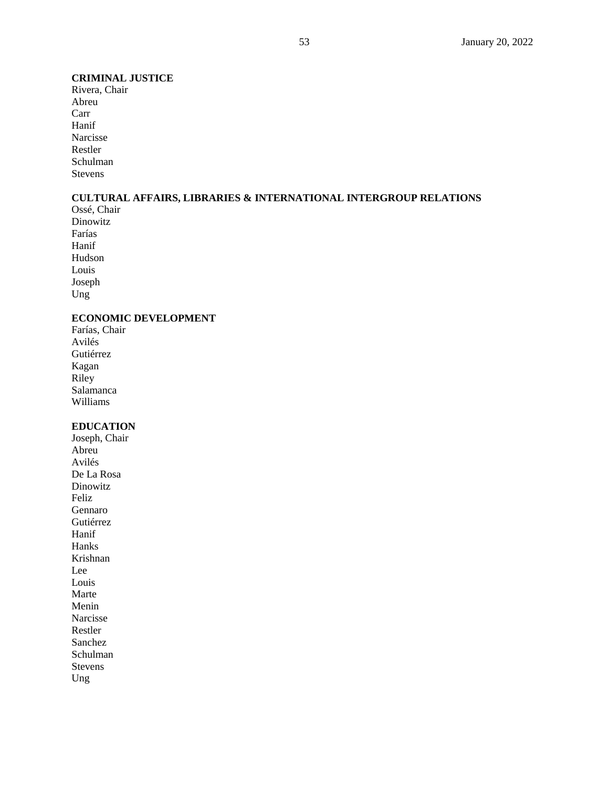## **CRIMINAL JUSTICE**

Rivera, Chair Abreu Carr Hanif Narcisse Restler Schulman Stevens

# **CULTURAL AFFAIRS, LIBRARIES & INTERNATIONAL INTERGROUP RELATIONS**

Ossé, Chair Dinowitz Farías Hanif Hudson Louis Joseph Ung

## **ECONOMIC DEVELOPMENT**

Farías, Chair Avilés Gutiérrez Kagan Riley Salamanca Williams

# **EDUCATION**

Joseph, Chair Abreu Avilés De La Rosa Dinowitz Feliz Gennaro Gutiérrez Hanif Hanks Krishnan Lee Louis Marte Menin Narcisse Restler Sanchez Schulman Stevens Ung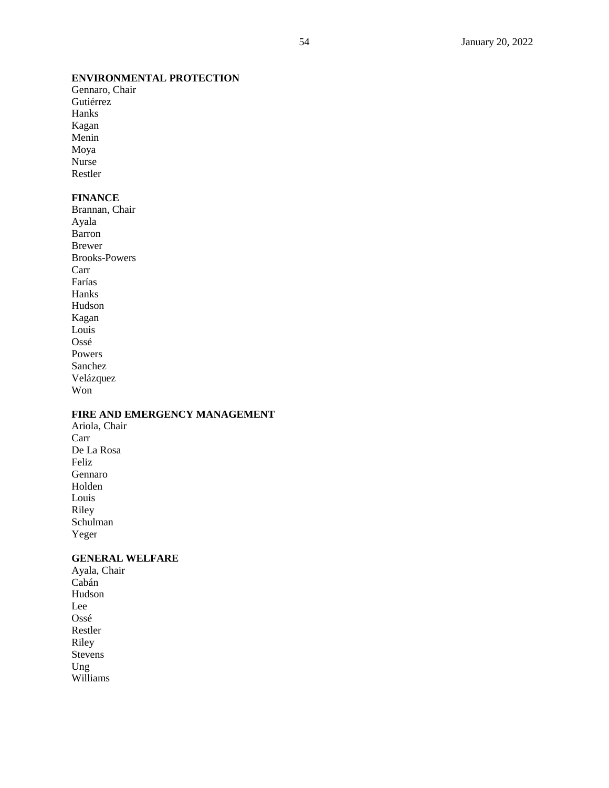# **ENVIRONMENTAL PROTECTION**

Gennaro, Chair Gutiérrez Hanks Kagan Menin Moya Nurse Restler

## **FINANCE**

Brannan, Chair Ayala Barron Brewer Brooks-Powers Carr Farías Hanks Hudson Kagan Louis Ossé Powers Sanchez Velázquez Won

# **FIRE AND EMERGENCY MANAGEMENT**

Ariola, Chair Carr De La Rosa Feliz Gennaro Holden Louis Riley Schulman Yeger

# **GENERAL WELFARE**

Ayala, Chair Cabán Hudson Lee Ossé Restler Riley Stevens Ung Williams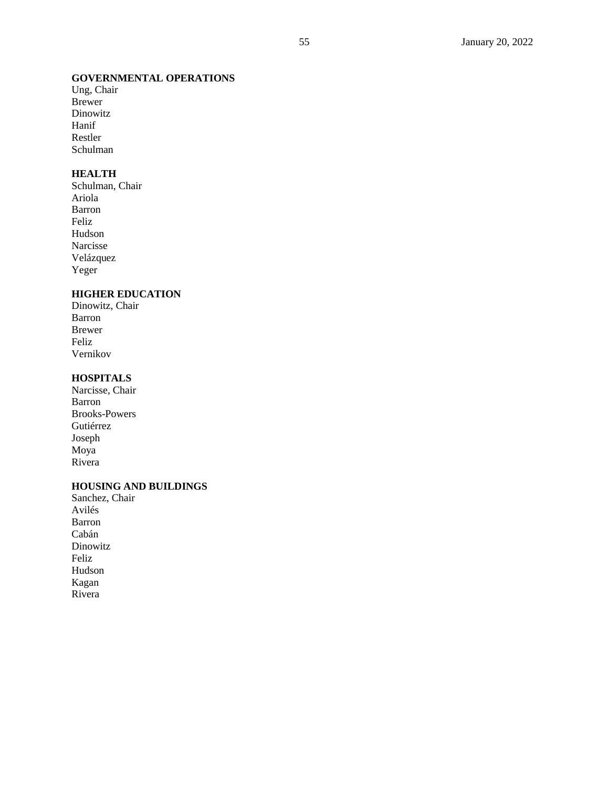# **GOVERNMENTAL OPERATIONS**

Ung, Chair Brewer Dinowitz Hanif Restler Schulman

## **HEALTH**

Schulman, Chair Ariola Barron Feliz Hudson Narcisse Velázquez Yeger

# **HIGHER EDUCATION**

Dinowitz, Chair Barron Brewer Feliz Vernikov

# **HOSPITALS**

Narcisse, Chair Barron Brooks -Powers Gutiérrez Joseph Moya Rivera

# **HOUSING AND BUILDINGS**

Sanchez, Chair Avilés Barron Cabán Dinowitz Feliz Hudson Kagan Rivera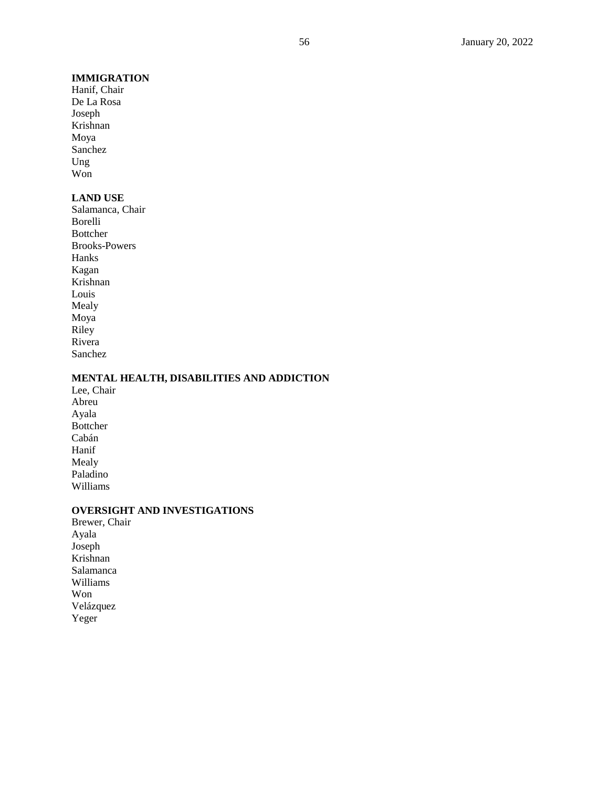## **IMMIGRATION**

Hanif, Chair De La Rosa Joseph Krishnan Moya Sanchez Ung Won

## **LAND USE**

Salamanca, Chair Borelli Bottcher Brooks-Powers Hanks Kagan Krishnan Louis Mealy Moya Riley Rivera Sanchez

# **MENTAL HEALTH, DISABILITIES AND ADDICTION**

Lee, Chair Abreu Ayala Bottcher Cabán Hanif Mealy Paladino Williams

# **OVERSIGHT AND INVESTIGATIONS**

Brewer, Chair Ayala Joseph Krishnan Salamanca Williams Won Velázquez Yeger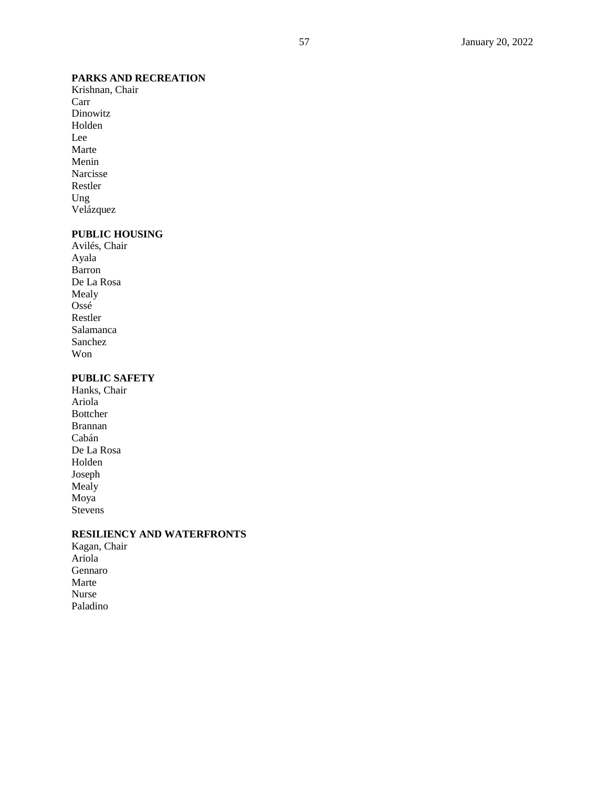# **PARKS AND RECREATION**

Krishnan, Chair Carr Dinowitz Holden Lee Marte Menin Narcisse Restler Ung Velázquez

# **PUBLIC HOUSING**

Avilés, Chair Ayala Barron De La Rosa Mealy Ossé Restler Salamanca Sanchez Won

# **PUBLIC SAFETY**

Hanks, Chair Ariola Bottcher Brannan Cabán De La Rosa Holden Joseph Mealy Moya Stevens

## **RESILIENCY AND WATERFRONTS**

Kagan, Chair Ariola Gennaro Marte Nurse Paladino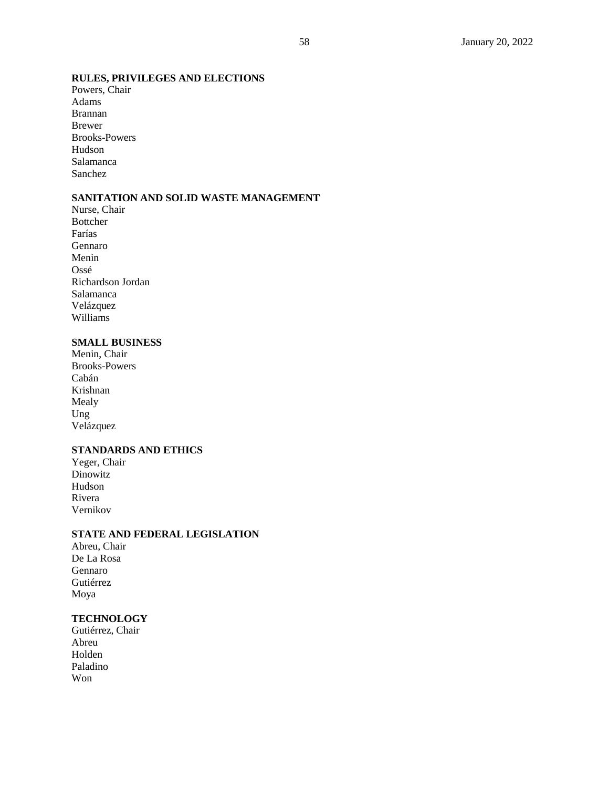# **RULES, PRIVILEGES AND ELECTIONS**

Powers, Chair Adams Brannan Brewer Brooks-Powers Hudson Salamanca Sanchez

# **SANITATION AND SOLID WASTE MANAGEMENT**

Nurse, Chair Bottcher Farías Gennaro Menin Ossé Richardson Jordan Salamanca Velázquez Williams

## **SMALL BUSINESS**

Menin, Chair Brooks-Powers Cabán Krishnan Mealy Ung Velázquez

# **STANDARDS AND ETHICS**

Yeger, Chair Dinowitz Hudson Rivera Vernikov

### **STATE AND FEDERAL LEGISLATION**

Abreu, Chair De La Rosa Gennaro Gutiérrez Moya

# **TECHNOLOGY**

Gutiérrez, Chair Abreu Holden Paladino Won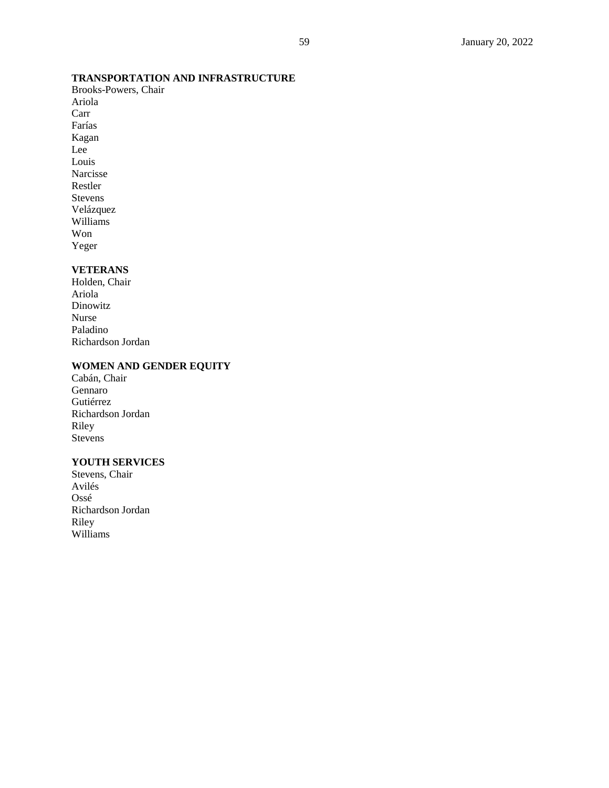# **TRANSPORTATION AND INFRASTRUCTURE**

Brooks-Powers, Chair Ariola Carr Farías Kagan Lee Louis Narcisse Restler Stevens Velázquez Williams Won Yeger

# **VETERANS**

Holden, Chair Ariola Dinowitz Nurse Paladino Richardson Jordan

## **WOMEN AND GENDER EQUITY**

Cabán, Chair Gennaro Gutiérrez Richardson Jordan Riley Stevens

# **YOUTH SERVICES**

Stevens, Chair Avilés Ossé Richardson Jordan Riley Williams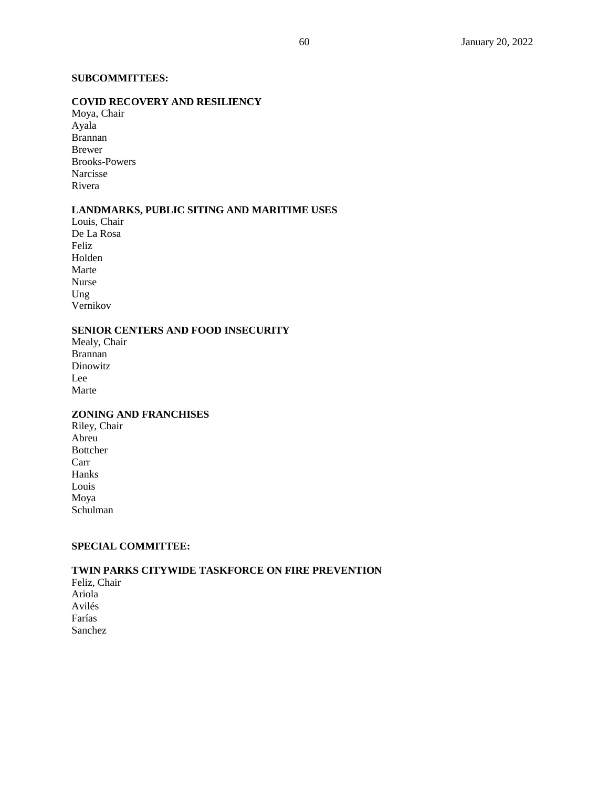# **SUBCOMMITTEES:**

# **COVID RECOVERY AND RESILIENCY**

Moya, Chair Ayala Brannan Brewer Brooks-Powers Narcisse Rivera

# **LANDMARKS, PUBLIC SITING AND MARITIME USES**

Louis, Chair De La Rosa Feliz Holden Marte Nurse Ung Vernikov

# **SENIOR CENTERS AND FOOD INSECURITY**

Mealy, Chair Brannan Dinowitz Lee Marte

## **ZONING AND FRANCHISES**

Riley, Chair Abreu Bottcher Carr Hanks Louis Moya Schulman

# **SPECIAL COMMITTEE:**

# **TWIN PARKS CITYWIDE TASKFORCE ON FIRE PREVENTION**

Feliz, Chair Ariola Avilés Farías Sanchez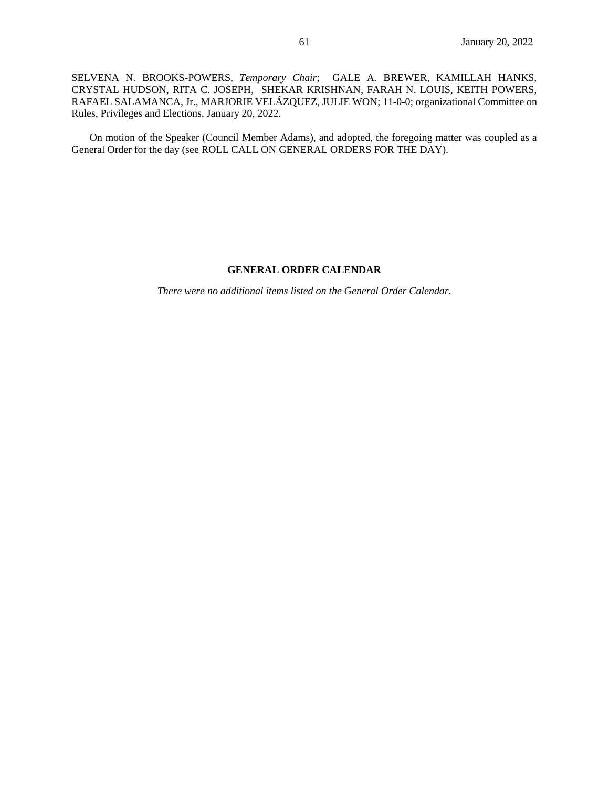SELVENA N. BROOKS-POWERS, *Temporary Chair*; GALE A. BREWER, KAMILLAH HANKS, CRYSTAL HUDSON, RITA C. JOSEPH, SHEKAR KRISHNAN, FARAH N. LOUIS, KEITH POWERS, RAFAEL SALAMANCA, Jr., MARJORIE VELÁZQUEZ, JULIE WON; 11-0-0; organizational Committee on Rules, Privileges and Elections, January 20, 2022.

On motion of the Speaker (Council Member Adams), and adopted, the foregoing matter was coupled as a General Order for the day (see ROLL CALL ON GENERAL ORDERS FOR THE DAY).

### **GENERAL ORDER CALENDAR**

*There were no additional items listed on the General Order Calendar.*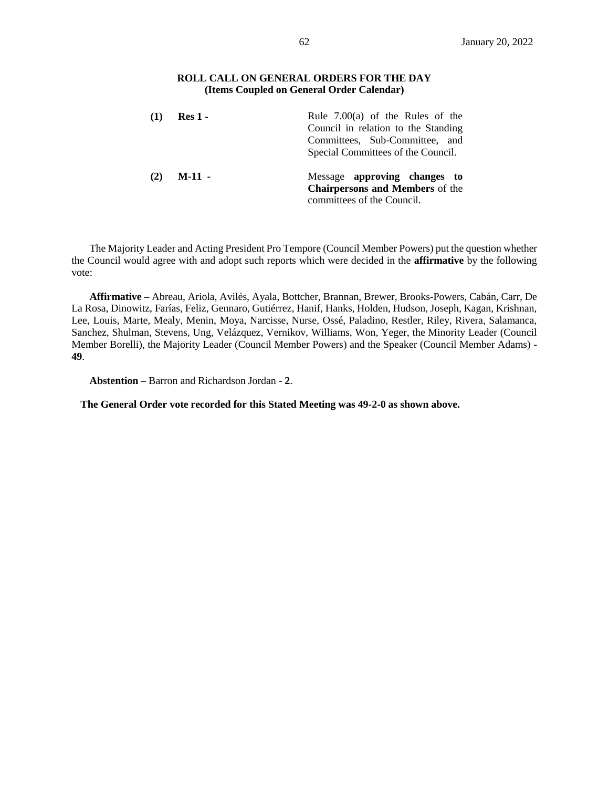## **ROLL CALL ON GENERAL ORDERS FOR THE DAY (Items Coupled on General Order Calendar)**

| $\mathbf{u}$ | $Res_1$ - | Rule $7.00(a)$ of the Rules of the<br>Council in relation to the Standing<br>Committees, Sub-Committee, and  |  |
|--------------|-----------|--------------------------------------------------------------------------------------------------------------|--|
| (2)          | $M-11 -$  | Special Committees of the Council.<br>Message approving changes to<br><b>Chairpersons and Members</b> of the |  |
|              |           | committees of the Council.                                                                                   |  |

The Majority Leader and Acting President Pro Tempore (Council Member Powers) put the question whether the Council would agree with and adopt such reports which were decided in the **affirmative** by the following vote:

**Affirmative –** Abreau, Ariola, Avilés, Ayala, Bottcher, Brannan, Brewer, Brooks-Powers, Cabán, Carr, De La Rosa, Dinowitz, Farías, Feliz, Gennaro, Gutiérrez, Hanif, Hanks, Holden, Hudson, Joseph, Kagan, Krishnan, Lee, Louis, Marte, Mealy, Menin, Moya, Narcisse, Nurse, Ossé, Paladino, Restler, Riley, Rivera, Salamanca, Sanchez, Shulman, Stevens, Ung, Velázquez, Vernikov, Williams, Won, Yeger, the Minority Leader (Council Member Borelli), the Majority Leader (Council Member Powers) and the Speaker (Council Member Adams) - **49**.

**Abstention –** Barron and Richardson Jordan - **2**.

**The General Order vote recorded for this Stated Meeting was 49-2-0 as shown above.**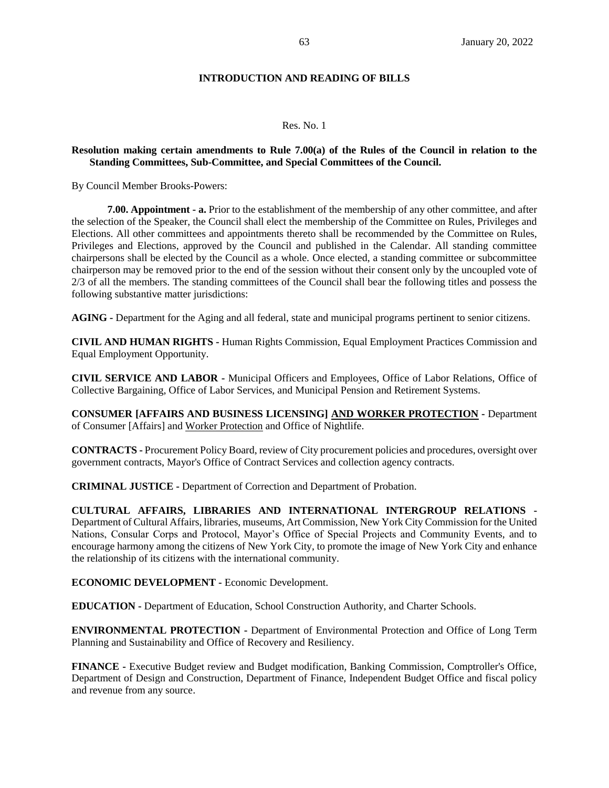## **INTRODUCTION AND READING OF BILLS**

#### Res. No. 1

#### **Resolution making certain amendments to Rule 7.00(a) of the Rules of the Council in relation to the Standing Committees, Sub-Committee, and Special Committees of the Council.**

By Council Member Brooks-Powers:

**7.00. Appointment - a.** Prior to the establishment of the membership of any other committee, and after the selection of the Speaker, the Council shall elect the membership of the Committee on Rules, Privileges and Elections. All other committees and appointments thereto shall be recommended by the Committee on Rules, Privileges and Elections, approved by the Council and published in the Calendar. All standing committee chairpersons shall be elected by the Council as a whole. Once elected, a standing committee or subcommittee chairperson may be removed prior to the end of the session without their consent only by the uncoupled vote of 2/3 of all the members. The standing committees of the Council shall bear the following titles and possess the following substantive matter jurisdictions:

**AGING -** Department for the Aging and all federal, state and municipal programs pertinent to senior citizens.

**CIVIL AND HUMAN RIGHTS -** Human Rights Commission, Equal Employment Practices Commission and Equal Employment Opportunity.

**CIVIL SERVICE AND LABOR -** Municipal Officers and Employees, Office of Labor Relations, Office of Collective Bargaining, Office of Labor Services, and Municipal Pension and Retirement Systems.

**CONSUMER [AFFAIRS AND BUSINESS LICENSING] AND WORKER PROTECTION -** Department of Consumer [Affairs] and Worker Protection and Office of Nightlife.

**CONTRACTS -** Procurement Policy Board, review of City procurement policies and procedures, oversight over government contracts, Mayor's Office of Contract Services and collection agency contracts.

**CRIMINAL JUSTICE -** Department of Correction and Department of Probation.

**CULTURAL AFFAIRS, LIBRARIES AND INTERNATIONAL INTERGROUP RELATIONS -** Department of Cultural Affairs, libraries, museums, Art Commission, New York City Commission for the United Nations, Consular Corps and Protocol, Mayor's Office of Special Projects and Community Events, and to encourage harmony among the citizens of New York City, to promote the image of New York City and enhance the relationship of its citizens with the international community.

**ECONOMIC DEVELOPMENT -** Economic Development.

**EDUCATION -** Department of Education, School Construction Authority, and Charter Schools.

**ENVIRONMENTAL PROTECTION -** Department of Environmental Protection and Office of Long Term Planning and Sustainability and Office of Recovery and Resiliency.

**FINANCE -** Executive Budget review and Budget modification, Banking Commission, Comptroller's Office, Department of Design and Construction, Department of Finance, Independent Budget Office and fiscal policy and revenue from any source.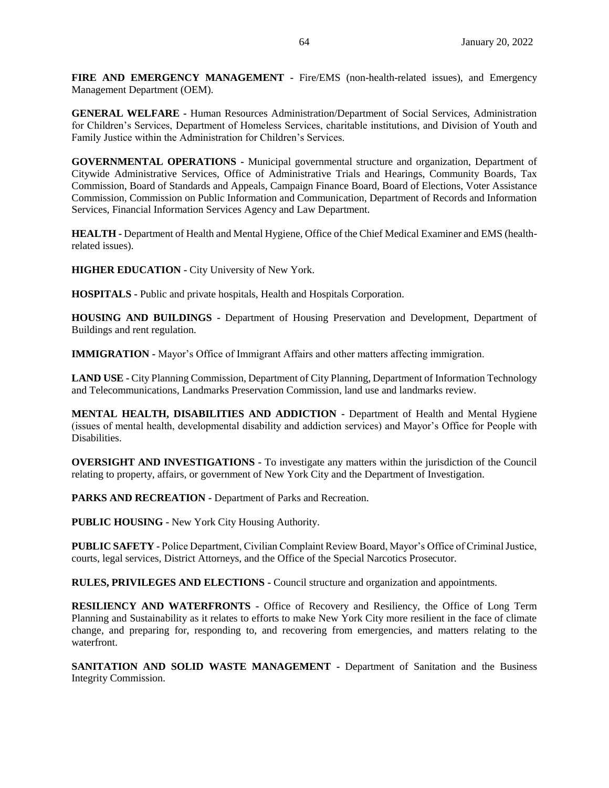**FIRE AND EMERGENCY MANAGEMENT -** Fire/EMS (non-health-related issues), and Emergency Management Department (OEM).

**GENERAL WELFARE -** Human Resources Administration/Department of Social Services, Administration for Children's Services, Department of Homeless Services, charitable institutions, and Division of Youth and Family Justice within the Administration for Children's Services.

**GOVERNMENTAL OPERATIONS -** Municipal governmental structure and organization, Department of Citywide Administrative Services, Office of Administrative Trials and Hearings, Community Boards, Tax Commission, Board of Standards and Appeals, Campaign Finance Board, Board of Elections, Voter Assistance Commission, Commission on Public Information and Communication, Department of Records and Information Services, Financial Information Services Agency and Law Department.

**HEALTH -** Department of Health and Mental Hygiene, Office of the Chief Medical Examiner and EMS (healthrelated issues).

**HIGHER EDUCATION -** City University of New York.

**HOSPITALS -** Public and private hospitals, Health and Hospitals Corporation.

**HOUSING AND BUILDINGS -** Department of Housing Preservation and Development, Department of Buildings and rent regulation.

**IMMIGRATION -** Mayor's Office of Immigrant Affairs and other matters affecting immigration.

**LAND USE -** City Planning Commission, Department of City Planning, Department of Information Technology and Telecommunications, Landmarks Preservation Commission, land use and landmarks review.

**MENTAL HEALTH, DISABILITIES AND ADDICTION -** Department of Health and Mental Hygiene (issues of mental health, developmental disability and addiction services) and Mayor's Office for People with Disabilities.

**OVERSIGHT AND INVESTIGATIONS -** To investigate any matters within the jurisdiction of the Council relating to property, affairs, or government of New York City and the Department of Investigation.

**PARKS AND RECREATION -** Department of Parks and Recreation.

**PUBLIC HOUSING -** New York City Housing Authority.

**PUBLIC SAFETY -** Police Department, Civilian Complaint Review Board, Mayor's Office of Criminal Justice, courts, legal services, District Attorneys, and the Office of the Special Narcotics Prosecutor.

**RULES, PRIVILEGES AND ELECTIONS -** Council structure and organization and appointments.

**RESILIENCY AND WATERFRONTS -** Office of Recovery and Resiliency, the Office of Long Term Planning and Sustainability as it relates to efforts to make New York City more resilient in the face of climate change, and preparing for, responding to, and recovering from emergencies, and matters relating to the waterfront.

**SANITATION AND SOLID WASTE MANAGEMENT -** Department of Sanitation and the Business Integrity Commission.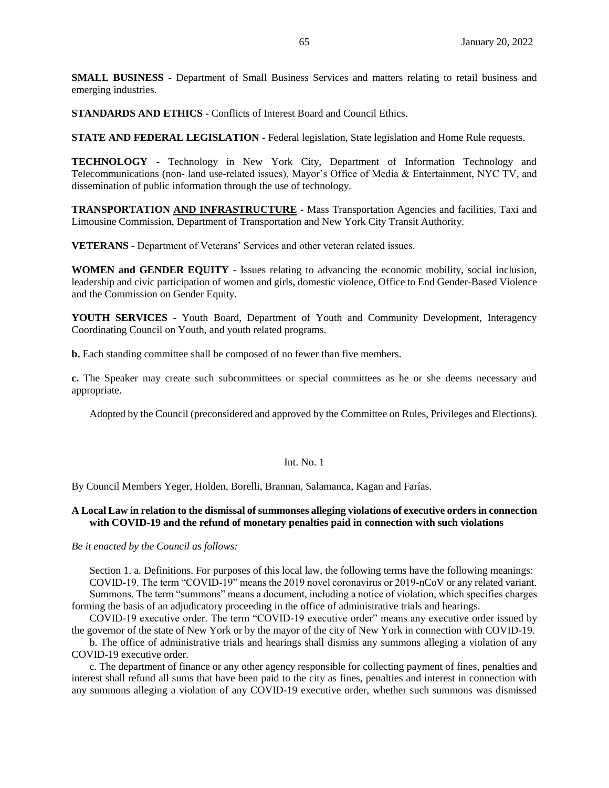**SMALL BUSINESS -** Department of Small Business Services and matters relating to retail business and emerging industries.

**STANDARDS AND ETHICS -** Conflicts of Interest Board and Council Ethics.

**STATE AND FEDERAL LEGISLATION -** Federal legislation, State legislation and Home Rule requests.

**TECHNOLOGY -** Technology in New York City, Department of Information Technology and Telecommunications (non- land use-related issues), Mayor's Office of Media & Entertainment, NYC TV, and dissemination of public information through the use of technology.

**TRANSPORTATION AND INFRASTRUCTURE -** Mass Transportation Agencies and facilities, Taxi and Limousine Commission, Department of Transportation and New York City Transit Authority.

**VETERANS -** Department of Veterans' Services and other veteran related issues.

**WOMEN and GENDER EQUITY -** Issues relating to advancing the economic mobility, social inclusion, leadership and civic participation of women and girls, domestic violence, Office to End Gender-Based Violence and the Commission on Gender Equity.

**YOUTH SERVICES -** Youth Board, Department of Youth and Community Development, Interagency Coordinating Council on Youth, and youth related programs.

**b.** Each standing committee shall be composed of no fewer than five members.

**c.** The Speaker may create such subcommittees or special committees as he or she deems necessary and appropriate.

Adopted by the Council (preconsidered and approved by the Committee on Rules, Privileges and Elections).

#### Int. No. 1

By Council Members Yeger, Holden, Borelli, Brannan, Salamanca, Kagan and Farías.

## **A Local Law in relation to the dismissal of summonses alleging violations of executive orders in connection with COVID-19 and the refund of monetary penalties paid in connection with such violations**

*Be it enacted by the Council as follows:*

Section 1. a. Definitions. For purposes of this local law, the following terms have the following meanings: COVID-19. The term "COVID-19" means the 2019 novel coronavirus or 2019-nCoV or any related variant.

Summons. The term "summons" means a document, including a notice of violation, which specifies charges forming the basis of an adjudicatory proceeding in the office of administrative trials and hearings.

COVID-19 executive order. The term "COVID-19 executive order" means any executive order issued by the governor of the state of New York or by the mayor of the city of New York in connection with COVID-19.

b. The office of administrative trials and hearings shall dismiss any summons alleging a violation of any COVID-19 executive order.

c. The department of finance or any other agency responsible for collecting payment of fines, penalties and interest shall refund all sums that have been paid to the city as fines, penalties and interest in connection with any summons alleging a violation of any COVID-19 executive order, whether such summons was dismissed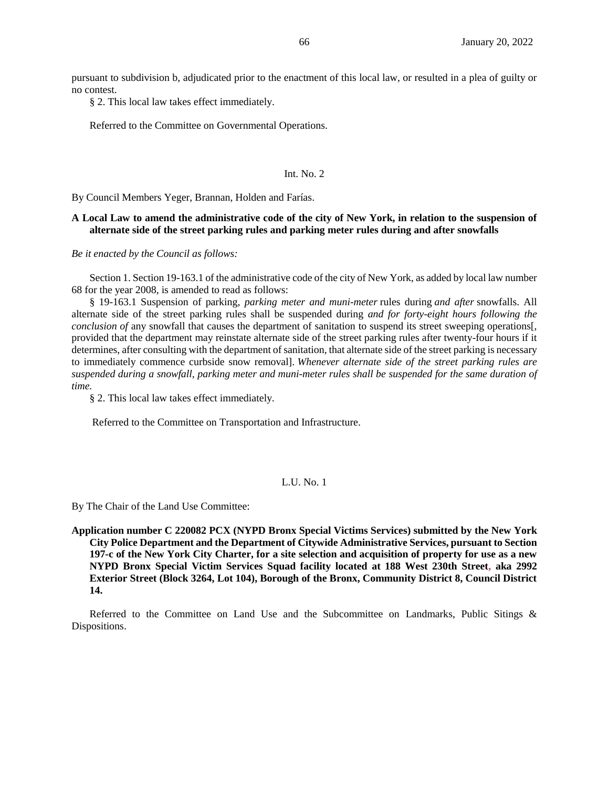pursuant to subdivision b, adjudicated prior to the enactment of this local law, or resulted in a plea of guilty or no contest.

§ 2. This local law takes effect immediately.

Referred to the Committee on Governmental Operations.

#### Int. No. 2

By Council Members Yeger, Brannan, Holden and Farías.

## **A Local Law to amend the administrative code of the city of New York, in relation to the suspension of alternate side of the street parking rules and parking meter rules during and after snowfalls**

*Be it enacted by the Council as follows:*

Section 1. Section 19-163.1 of the administrative code of the city of New York, as added by local law number 68 for the year 2008, is amended to read as follows:

§ 19-163.1 Suspension of parking*, parking meter and muni-meter* rules during *and after* snowfalls. All alternate side of the street parking rules shall be suspended during *and for forty-eight hours following the conclusion of* any snowfall that causes the department of sanitation to suspend its street sweeping operations[, provided that the department may reinstate alternate side of the street parking rules after twenty-four hours if it determines, after consulting with the department of sanitation, that alternate side of the street parking is necessary to immediately commence curbside snow removal]. *Whenever alternate side of the street parking rules are suspended during a snowfall, parking meter and muni-meter rules shall be suspended for the same duration of time.*

§ 2. This local law takes effect immediately.

Referred to the Committee on Transportation and Infrastructure.

## L.U. No. 1

By The Chair of the Land Use Committee:

**Application number C 220082 PCX (NYPD Bronx Special Victims Services) submitted by the New York City Police Department and the Department of Citywide Administrative Services, pursuant to Section 197-c of the New York City Charter, for a site selection and acquisition of property for use as a new NYPD Bronx Special Victim Services Squad facility located at 188 West 230th Street, aka 2992 Exterior Street (Block 3264, Lot 104), Borough of the Bronx, Community District 8, Council District 14.**

Referred to the Committee on Land Use and the Subcommittee on Landmarks, Public Sitings & Dispositions.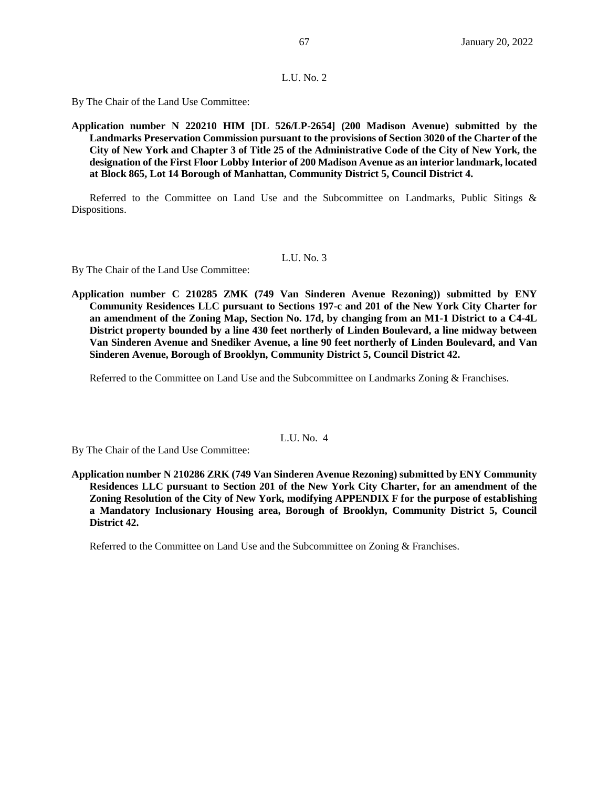#### L.U. No. 2

By The Chair of the Land Use Committee:

**Application number N 220210 HIM [DL 526/LP-2654] (200 Madison Avenue) submitted by the Landmarks Preservation Commission pursuant to the provisions of Section 3020 of the Charter of the City of New York and Chapter 3 of Title 25 of the Administrative Code of the City of New York, the designation of the First Floor Lobby Interior of 200 Madison Avenue as an interior landmark, located at Block 865, Lot 14 Borough of Manhattan, Community District 5, Council District 4.**

Referred to the Committee on Land Use and the Subcommittee on Landmarks, Public Sitings & Dispositions.

## L.U. No. 3

By The Chair of the Land Use Committee:

**Application number C 210285 ZMK (749 Van Sinderen Avenue Rezoning)) submitted by ENY Community Residences LLC pursuant to Sections 197-c and 201 of the New York City Charter for an amendment of the Zoning Map, Section No. 17d, by changing from an M1-1 District to a C4-4L District property bounded by a line 430 feet northerly of Linden Boulevard, a line midway between Van Sinderen Avenue and Snediker Avenue, a line 90 feet northerly of Linden Boulevard, and Van Sinderen Avenue, Borough of Brooklyn, Community District 5, Council District 42.**

Referred to the Committee on Land Use and the Subcommittee on Landmarks Zoning & Franchises.

## L.U. No. 4

By The Chair of the Land Use Committee:

**Application number N 210286 ZRK (749 Van Sinderen Avenue Rezoning) submitted by ENY Community Residences LLC pursuant to Section 201 of the New York City Charter, for an amendment of the Zoning Resolution of the City of New York, modifying APPENDIX F for the purpose of establishing a Mandatory Inclusionary Housing area, Borough of Brooklyn, Community District 5, Council District 42.**

Referred to the Committee on Land Use and the Subcommittee on Zoning & Franchises.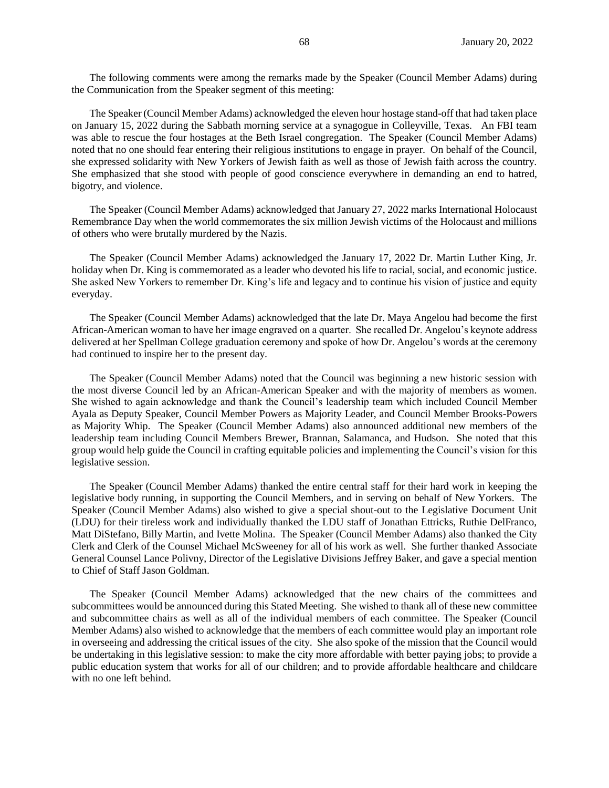The following comments were among the remarks made by the Speaker (Council Member Adams) during the Communication from the Speaker segment of this meeting:

The Speaker (Council Member Adams) acknowledged the eleven hour hostage stand-off that had taken place on January 15, 2022 during the Sabbath morning service at a synagogue in Colleyville, Texas. An FBI team was able to rescue the four hostages at the Beth Israel congregation. The Speaker (Council Member Adams) noted that no one should fear entering their religious institutions to engage in prayer. On behalf of the Council, she expressed solidarity with New Yorkers of Jewish faith as well as those of Jewish faith across the country. She emphasized that she stood with people of good conscience everywhere in demanding an end to hatred, bigotry, and violence.

The Speaker (Council Member Adams) acknowledged that January 27, 2022 marks International Holocaust Remembrance Day when the world commemorates the six million Jewish victims of the Holocaust and millions of others who were brutally murdered by the Nazis.

The Speaker (Council Member Adams) acknowledged the January 17, 2022 Dr. Martin Luther King, Jr. holiday when Dr. King is commemorated as a leader who devoted his life to racial, social, and economic justice. She asked New Yorkers to remember Dr. King's life and legacy and to continue his vision of justice and equity everyday.

The Speaker (Council Member Adams) acknowledged that the late Dr. Maya Angelou had become the first African-American woman to have her image engraved on a quarter. She recalled Dr. Angelou's keynote address delivered at her Spellman College graduation ceremony and spoke of how Dr. Angelou's words at the ceremony had continued to inspire her to the present day.

The Speaker (Council Member Adams) noted that the Council was beginning a new historic session with the most diverse Council led by an African-American Speaker and with the majority of members as women. She wished to again acknowledge and thank the Council's leadership team which included Council Member Ayala as Deputy Speaker, Council Member Powers as Majority Leader, and Council Member Brooks-Powers as Majority Whip. The Speaker (Council Member Adams) also announced additional new members of the leadership team including Council Members Brewer, Brannan, Salamanca, and Hudson. She noted that this group would help guide the Council in crafting equitable policies and implementing the Council's vision for this legislative session.

The Speaker (Council Member Adams) thanked the entire central staff for their hard work in keeping the legislative body running, in supporting the Council Members, and in serving on behalf of New Yorkers. The Speaker (Council Member Adams) also wished to give a special shout-out to the Legislative Document Unit (LDU) for their tireless work and individually thanked the LDU staff of Jonathan Ettricks, Ruthie DelFranco, Matt DiStefano, Billy Martin, and Ivette Molina. The Speaker (Council Member Adams) also thanked the City Clerk and Clerk of the Counsel Michael McSweeney for all of his work as well. She further thanked Associate General Counsel Lance Polivny, Director of the Legislative Divisions Jeffrey Baker, and gave a special mention to Chief of Staff Jason Goldman.

The Speaker (Council Member Adams) acknowledged that the new chairs of the committees and subcommittees would be announced during this Stated Meeting. She wished to thank all of these new committee and subcommittee chairs as well as all of the individual members of each committee. The Speaker (Council Member Adams) also wished to acknowledge that the members of each committee would play an important role in overseeing and addressing the critical issues of the city. She also spoke of the mission that the Council would be undertaking in this legislative session: to make the city more affordable with better paying jobs; to provide a public education system that works for all of our children; and to provide affordable healthcare and childcare with no one left behind.